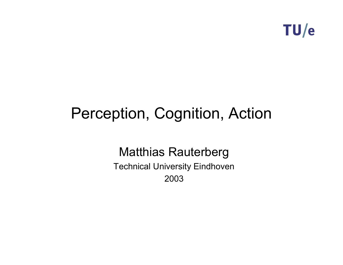

# Perception, Cognition, Action

Matthias Rauterberg

Technical University Eindhoven 2003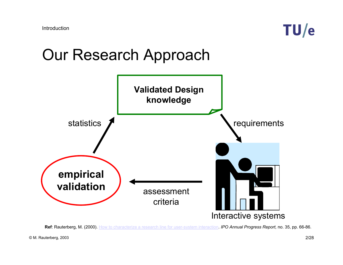

#### Our Research Approach



**Ref**: Rauterberg, M. (2000). How to characterize a research line for user-system interaction. *IPO Annual Progress Report,* no. 35, pp. 66-86.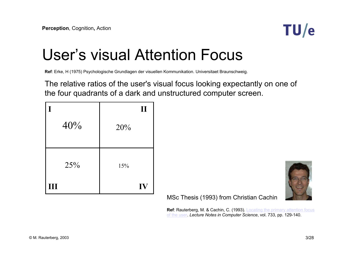

### User's visual Attention Focus

**Ref**: Erke, H (1975) Psychologische Grundlagen der visuellen Kommunikation. Universitaet Braunschweig.

The relative ratios of the user's visual focus looking expectantly on one of the four quadrants of a dark and unstructured computer screen.

|                | $\mathbf{I}$ |
|----------------|--------------|
| 40%            | 20%          |
|                |              |
| 25%            | 15%          |
| $\mathbf{III}$ | IV           |

MSc Thesis (1993) from Christian Cachin

**Ref**: Rauterberg, M. & Cachin, C. (1993). Locating the primary attention focus of the user. *Lecture Notes in Computer Science*, vol. 733, pp. 129-140.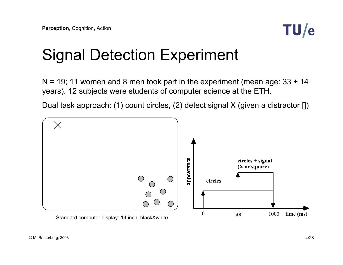

# Signal Detection Experiment

 $N = 19$ ; 11 women and 8 men took part in the experiment (mean age:  $33 \pm 14$ years). 12 subjects were students of computer science at the ETH.

Dual task approach: (1) count circles, (2) detect signal X (given a distractor [])

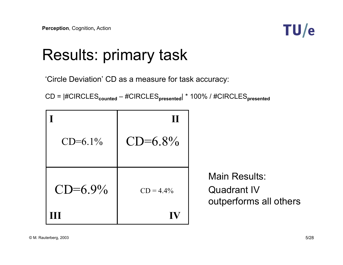

### Results: primary task

'Circle Deviation' CD as a measure for task accuracy:

CD = |#CIRCLES**counted** – #CIRCLES**presented**| \* 100% / #CIRCLES**presented**

|              | T            |                                                                      |
|--------------|--------------|----------------------------------------------------------------------|
| $CD = 6.1\%$ | $CD = 6.8\%$ |                                                                      |
| $CD = 6.9\%$ | $CD = 4.4\%$ | <b>Main Results:</b><br><b>Quadrant IV</b><br>outperforms all others |
|              | IV           |                                                                      |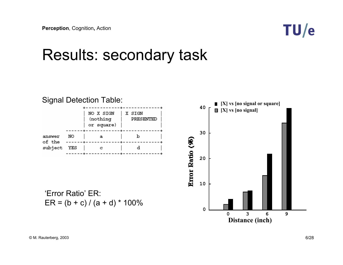

#### Results: secondary task

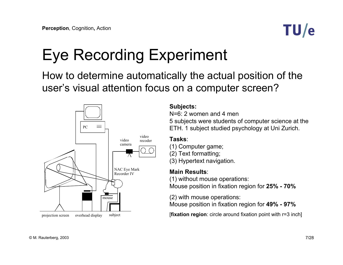

# Eye Recording Experiment

How to determine automatically the actual position of the user's visual attention focus on a computer screen?



#### **Subjects:**

N=6: 2 women and 4 men5 subjects were students of computer science at the ETH. 1 subject studied psychology at Uni Zurich.

#### **Tasks**:

- (1) Computer game;
- (2) Text formatting;
- (3) Hypertext navigation.

#### **Main Results**:

(1) without mouse operations: Mouse position in fixation region for **25% - 70%**

(2) with mouse operations: Mouse position in fixation region for **49% - 97%**

[**fixation region**: circle around fixation point with r=3 inch]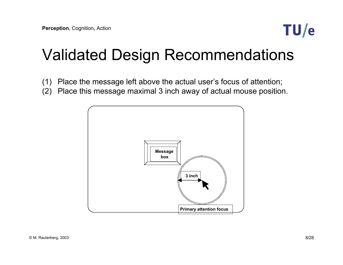

### Validated Design Recommendations

- (1) Place the message left above the actual user's focus of attention;
- (2) Place this message maximal 3 inch away of actual mouse position.

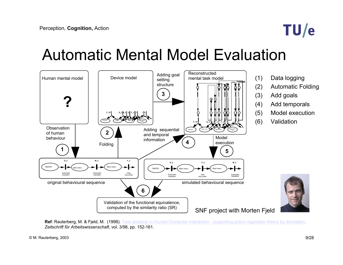

### Automatic Mental Model Evaluation



- (1) Data logging
- (2) Automatic Folding
- (3) Add goals
- (4) Add temporals
- (5) Model execution
- (6) Validation



**Ref**: Rauterberg, M. & Fjeld, M. (1998). Task analysis in Human-Computer interaction - supporting action regulation theory by simulation. *Zeitschrift für Arbeitswissenschaft*, vol. 3/98, pp. 152-161.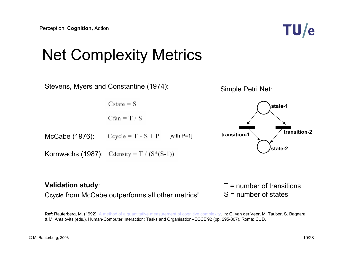

# Net Complexity Metrics



#### **Validation study**:

Ccycle from McCabe outperforms all other metrics!

T = number of transitionsS = number of states

Ref: Rauterberg, M. (1992). A method of a quantitative measurement of cognitive complexity. In: G. van der Veer, M. Tauber, S. Bagnara & M. Antalovits (eds.), Human-Computer Interaction: Tasks and Organisation--ECCE'92 (pp. 295-307). Roma: CUD.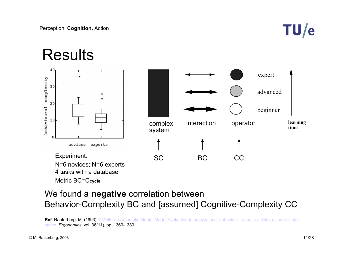

#### Results40 expert complexity 30 advanced20 behavioural beginner 10 interaction**learning**  operator complex **time**system U novices experts Experiment: SC BC CC N=6 novices; N=6 experts 4 tasks with a databaseMetric BC=C**cycle**

#### We found a **negative** correlation between Behavior-Complexity BC and [assumed] Cognitive-Complexity CC

Ref: Rauterberg, M. (1993). AMME: an Automatic Mental Model Evaluation to analyze user behaviour traced in a finite, discrete state space. *Ergonomics,* vol. 36(11), pp. 1369-1380.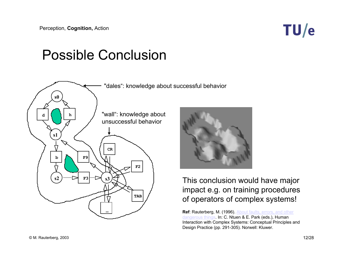### TU/e

#### Possible Conclusion



#### This conclusion would have major impact e.g. on training procedures of operators of complex systems!

**Ref**: Rauterberg, M. (1996). About faults, errors, and other dangerous things. In: C. Ntuen & E. Park (eds.), Human Interaction with Complex Systems: Conceptual Principles and Design Practice (pp. 291-305). Norwell: Kluwer.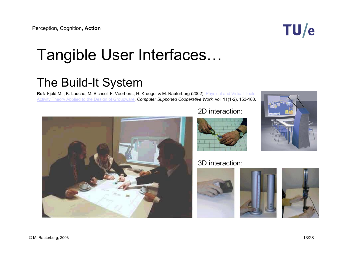# Tangible User Interfaces…

#### The Build-It System

**Ref:** Fjeld M. , K. Lauche, M. Bichsel, F. Voorhorst, H. Krueger & M. Rauterberg (2002). Physical and Virtual Tools: Activity Theory Applied to the Design of Groupware. *Computer Supported Cooperative Work,* vol. 11(1-2), 153-180.



#### 2D interaction:



#### 3D interaction:







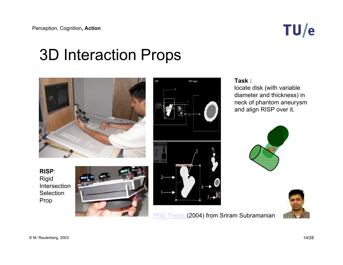

### 3D Interaction Props



**RISP**:Rigid Intersection **Selection** Prop





#### **Task :**

locate disk (with variable diameter and thickness) in neck of phantom aneurysm and align RISP over it.





**PhD Thesis (2004) from Sriram Subramanian**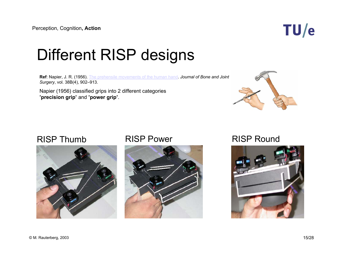

# Different RISP designs

**Ref**: Napier, J. R. (1956). The prehensile movements of the human hand. *Journal of Bone and Joint Surgery*, vol. 38B(4), 902–913.

Napier (1956) classified grips into 2 different categories **'precision grip'** and **'power grip'**.



#### RISP Thumb





#### RISP Power RISP Round

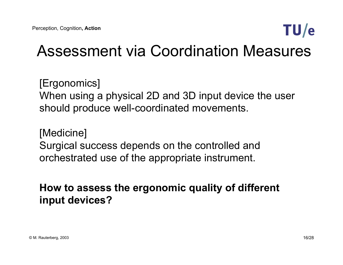

## Assessment via Coordination Measures

[Ergonomics] When using a physical 2D and 3D input device the user should produce well-coordinated movements.

[Medicine] Surgical success depends on the controlled and orchestrated use of the appropriate instrument.

#### **How to assess the ergonomic quality of different input devices?**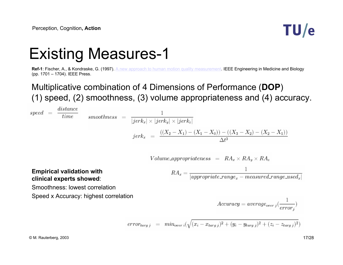

# Existing Measures-1

**Ref-1**: Fischer, A., & Kondraske, G. (1997). A new approach to human motion quality measurement. IEEE Engineering in Medicine and Biology (pp. 1701 – 1704). IEEE Press.

#### Multiplicative combination of 4 Dimensions of Performance (**DOP**) (1) speed, (2) smoothness, (3) volume appropriateness and (4) accuracy.

$$
speed = \frac{distance}{time} = \frac{1}{|jerk_x| \times |jerk_y| \times |jerk_z|}
$$

$$
jerk_x = \frac{((X_2 - X_1) - (X_1 - X_0)) - ((X_3 - X_2) - (X_2 - X_1))}{\Delta t^3}
$$

$$
Volume\_appropriateness = RA_x \times RA_y \times RA_z
$$

#### **Empirical validation with clinical experts showed**:

$$
RA_x = \frac{1}{|approx|exrange_x - measured\_range\_used_x|}
$$

Smoothness: lowest correlation

Speed x Accuracy: highest correlation

$$
Accuracy = average_{over}(\frac{1}{error_{j}})
$$

$$
error_{targ j} = min_{over i}(\sqrt{(x_i - x_{targ j})^2 + (y_i - y_{targ j})^2 + (z_i - z_{targ j})^2})
$$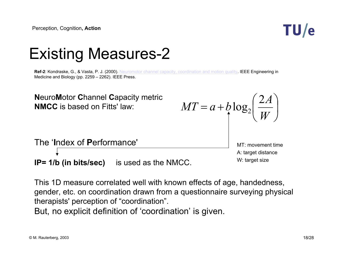

### Existing Measures-2

**Ref-2**: Kondraske, G., & Vasta, P. J. (2000). Neuromotor channel capacity, coordination and motion quality. IEEE Engineering in Medicine and Biology (pp. 2259 – 2262). IEEE Press.



This 1D measure correlated well with known effects of age, handedness, gender, etc. on coordination drawn from a questionnaire surveying physical therapists' perception of "coordination".

But, no explicit definition of 'coordination' is given.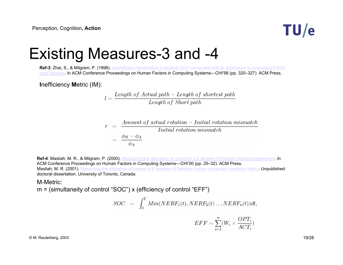

### Existing Measures-3 and -4

**Ref-3**: Zhai, S., & Milgram, P. (1998). Quantifying coordination in multiple DOF movement and its application to evaluating 6 DOF input devices. In ACM Conference Proceedings on Human Factors in Computing Systems—CHI'98 (pp. 320–327). ACM Press.

**I**nefficiency **M**etric (IM):

$$
l = \frac{Length\ of\ Actual\ path - Length\ of\ shortest\ path}{Length\ of\ Short\ path}
$$

$$
r = \frac{Amount of actual rotation - Initial rotation mismatch}{Initial rotation mismatch}
$$

$$
= \frac{\phi_B - \phi_A}{\phi_A}
$$

**Ref-4**: Masliah, M. R., & Milgram, P. (2000). Measuring the allocation of control in a 6 degree-of-freedom docking experiment. In ACM Conference Proceedings on Human Factors in Computing Systems—CHI'00 (pp. 25–32). ACM Press. Masliah, M. R. (2001). Measuring the allocation of control in 6 degrees of freedom human computer interaction tasks. Unpublished doctoral dissertation, University of Toronto, Canada.

#### M-Metric:

m = (simultaneity of control "SOC") x (efficiency of control "EFF")

$$
SOC = \int_0^T Min(NERF_1(t), NERF_2(t) \dots NERF_n(t))dt,
$$

$$
EFF = \sum_{i=1}^{n} (W_i \times \frac{OPT_i}{ACT_i})
$$

 $\degree$  M. Rauterberg, 2003 19/28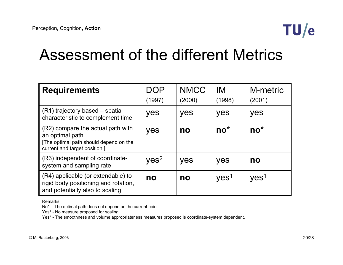

#### Assessment of the different Metrics

| <b>Requirements</b>                                                                                                              | DOP<br>(1997)    | <b>NMCC</b><br>(2000) | IM<br>(1998)     | M-metric<br>(2001) |
|----------------------------------------------------------------------------------------------------------------------------------|------------------|-----------------------|------------------|--------------------|
| (R1) trajectory based – spatial<br>characteristic to complement time                                                             | yes              | yes                   | yes              | yes                |
| (R2) compare the actual path with<br>an optimal path.<br>[The optimal path should depend on the<br>current and target position.] | yes              | no                    | $no^*$           | $no^*$             |
| (R3) independent of coordinate-<br>system and sampling rate                                                                      | yes <sup>2</sup> | yes                   | yes              | no                 |
| (R4) applicable (or extendable) to<br>rigid body positioning and rotation,<br>and potentially also to scaling                    | no               | no                    | yes <sup>1</sup> | yes <sup>1</sup>   |

Remarks:

No\* - The optimal path does not depend on the current point.

Yes<sup>1</sup> - No measure proposed for scaling.

Yes<sup>2</sup> - The smoothness and volume appropriateness measures proposed is coordinate-system dependent.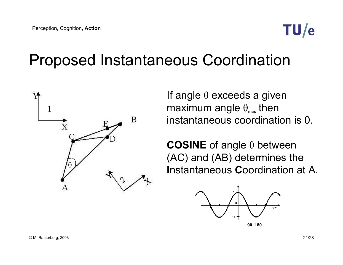

### Proposed Instantaneous Coordination



If angle  $\theta$  exceeds a given maximum angle  $\theta_{\text{max}}$  then instantaneous coordination is 0.

**COSINE** of angle θ between (AC) and (AB) determines the **Instantaneous Coordination at A.** 

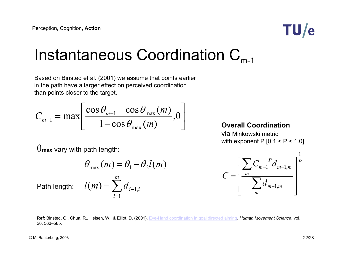

### Instantaneous Coordination  $C_{m-1}$

Based on Binsted et al. (2001) we assume that points earlier in the path have a larger effect on perceived coordination than points closer to the target.

$$
C_{m-1} = \max \left[ \frac{\cos \theta_{m-1} - \cos \theta_{\max}(m)}{1 - \cos \theta_{\max}(m)}, 0 \right]
$$

#### **Overall Coordination**

via Minkowski metric with exponent P  $[0.1 < P < 1.0]$ 

 $\theta$ max vary with path length:

$$
\theta_{\text{max}}(m) = \theta_1 - \theta_2 l(m)
$$

∑

*m*

= $=$   $\sum a_{i-}$ 

1

*i*

 $l(m) = \sum d_{i-1,i}$ Path length:  $\quad l(m)$   $=$   $\sum d_{i-1,}$ 

$$
C = \left[ \frac{\sum_{m} C_{m-1}^{P} d_{m-1,m}}{\sum_{m} d_{m-1,m}} \right]^{\frac{1}{P}}
$$

**Ref**: Binsted, G., Chua, R., Helsen, W., & Elliot, D. (2001). Eye-Hand coordination in goal directed aiming. *Human Movement Science*. vol. 20, 563–585.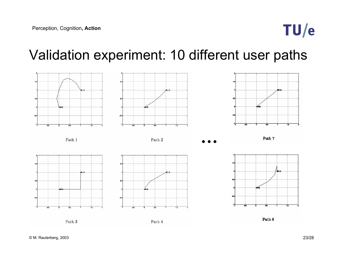

#### Validation experiment: 10 different user paths

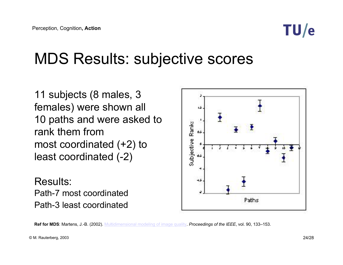

### MDS Results: subjective scores

11 subjects (8 males, 3 females) were shown all 10 paths and were asked to rank them from most coordinated (+2) to least coordinated (-2)

Results:Path-7 most coordinatedPath-3 least coordinated



**Ref for MDS**: Martens, J.-B. (2002). Multidimensional modeling of image quality. *Proceedings of the IEEE*, vol. 90, 133–153.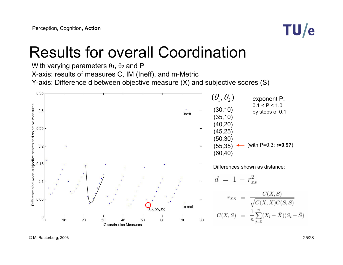

### Results for overall Coordination

With varying parameters  $\theta_1$ ,  $\theta_2$  and P X-axis: results of measures C, IM (Ineff), and m-Metric Y-axis: Difference d between objective measure (X) and subjective scores (S)

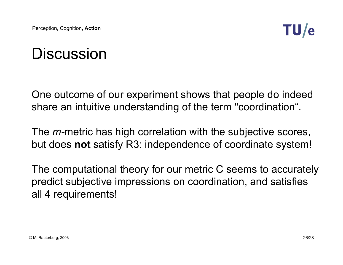

## **Discussion**

One outcome of our experiment shows that people do indeed share an intuitive understanding of the term "coordination".

The *m-*metric has high correlation with the subjective scores, but does **not** satisfy R3: independence of coordinate system!

The computational theory for our metric C seems to accurately predict subjective impressions on coordination, and satisfies all 4 requirements!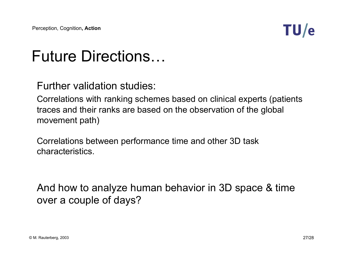

# Future Directions…

Further validation studies:

Correlations with ranking schemes based on clinical experts (patients traces and their ranks are based on the observation of the global movement path)

Correlations between performance time and other 3D task characteristics.

And how to analyze human behavior in 3D space & time over a couple of days?